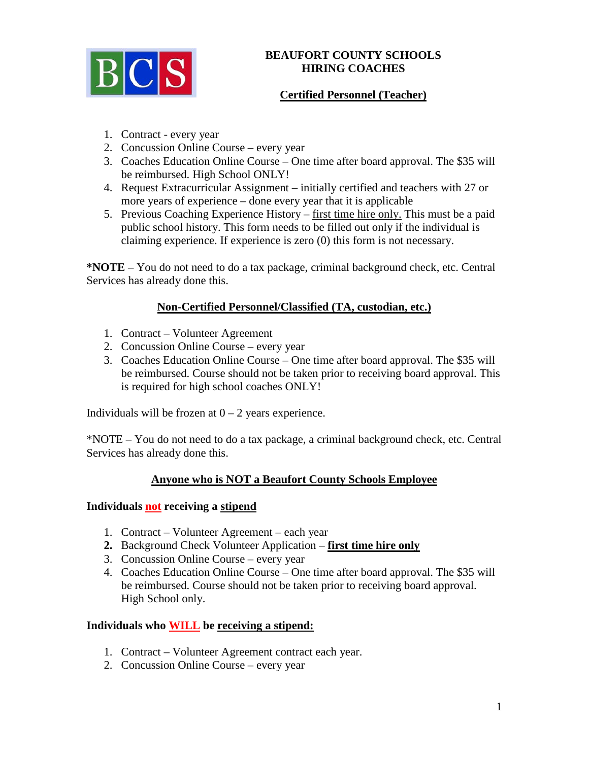

### **BEAUFORT COUNTY SCHOOLS HIRING COACHES**

# **Certified Personnel (Teacher)**

- 1. Contract every year
- 2. Concussion Online Course every year
- 3. Coaches Education Online Course One time after board approval. The \$35 will be reimbursed. High School ONLY!
- 4. Request Extracurricular Assignment initially certified and teachers with 27 or more years of experience – done every year that it is applicable
- 5. Previous Coaching Experience History first time hire only. This must be a paid public school history. This form needs to be filled out only if the individual is claiming experience. If experience is zero (0) this form is not necessary.

**\*NOTE** – You do not need to do a tax package, criminal background check, etc. Central Services has already done this.

# **Non-Certified Personnel/Classified (TA, custodian, etc.)**

- 1. Contract Volunteer Agreement
- 2. Concussion Online Course every year
- 3. Coaches Education Online Course One time after board approval. The \$35 will be reimbursed. Course should not be taken prior to receiving board approval. This is required for high school coaches ONLY!

Individuals will be frozen at  $0 - 2$  years experience.

\*NOTE – You do not need to do a tax package, a criminal background check, etc. Central Services has already done this.

### **Anyone who is NOT a Beaufort County Schools Employee**

### **Individuals not receiving a stipend**

- 1. Contract Volunteer Agreement each year
- **2.** Background Check Volunteer Application **first time hire only**
- 3. Concussion Online Course every year
- 4. Coaches Education Online Course One time after board approval. The \$35 will be reimbursed. Course should not be taken prior to receiving board approval. High School only.

### **Individuals who WILL be receiving a stipend:**

- 1. Contract Volunteer Agreement contract each year.
- 2. Concussion Online Course every year